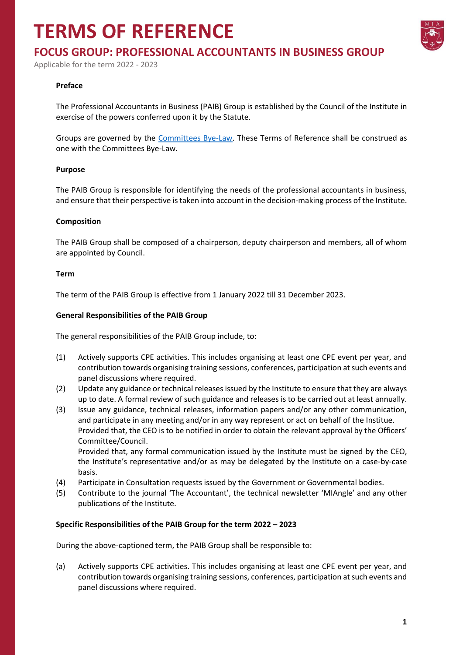## **TERMS OF REFERENCE**



### **FOCUS GROUP: PROFESSIONAL ACCOUNTANTS IN BUSINESS GROUP**

Applicable for the term 2022 - 2023

#### **Preface**

The Professional Accountants in Business (PAIB) Group is established by the Council of the Institute in exercise of the powers conferred upon it by the Statute.

Groups are governed by the [Committees Bye-Law.](https://www.miamalta.org/Statute-and-Bye-Laws) These Terms of Reference shall be construed as one with the Committees Bye-Law.

#### **Purpose**

The PAIB Group is responsible for identifying the needs of the professional accountants in business, and ensure that their perspective is taken into account in the decision-making process of the Institute.

#### **Composition**

The PAIB Group shall be composed of a chairperson, deputy chairperson and members, all of whom are appointed by Council.

#### **Term**

The term of the PAIB Group is effective from 1 January 2022 till 31 December 2023.

#### **General Responsibilities of the PAIB Group**

The general responsibilities of the PAIB Group include, to:

- (1) Actively supports CPE activities. This includes organising at least one CPE event per year, and contribution towards organising training sessions, conferences, participation at such events and panel discussions where required.
- (2) Update any guidance or technical releases issued by the Institute to ensure that they are always up to date. A formal review of such guidance and releases is to be carried out at least annually.
- (3) Issue any guidance, technical releases, information papers and/or any other communication, and participate in any meeting and/or in any way represent or act on behalf of the Institue. Provided that, the CEO is to be notified in order to obtain the relevant approval by the Officers' Committee/Council.

Provided that, any formal communication issued by the Institute must be signed by the CEO, the Institute's representative and/or as may be delegated by the Institute on a case-by-case basis.

- (4) Participate in Consultation requests issued by the Government or Governmental bodies.
- (5) Contribute to the journal 'The Accountant', the technical newsletter 'MIAngle' and any other publications of the Institute.

#### **Specific Responsibilities of the PAIB Group for the term 2022 – 2023**

During the above-captioned term, the PAIB Group shall be responsible to:

(a) Actively supports CPE activities. This includes organising at least one CPE event per year, and contribution towards organising training sessions, conferences, participation at such events and panel discussions where required.